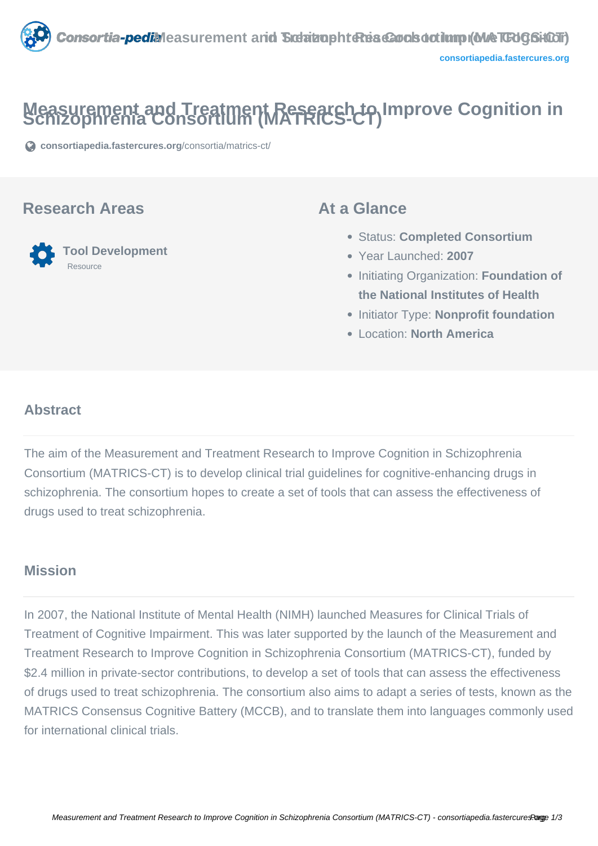

# **Measurement and Treatment Research to Improve Cognition in Schizophrenia Consortium (MATRICS-CT)**

**[consortiapedia.fastercures.org](https://consortiapedia.fastercures.org/consortia/matrics-ct/)**[/consortia/matrics-ct/](https://consortiapedia.fastercures.org/consortia/matrics-ct/)

#### **Research Areas**



#### **At a Glance**

- Status: **Completed Consortium**
- Year Launched: **2007**
- **Initiating Organization: Foundation of the National Institutes of Health**
- **Initiator Type: Nonprofit foundation**
- Location: **North America**

#### $\overline{a}$ **Abstract**

The aim of the Measurement and Treatment Research to Improve Cognition in Schizophrenia Consortium (MATRICS-CT) is to develop clinical trial guidelines for cognitive-enhancing drugs in schizophrenia. The consortium hopes to create a set of tools that can assess the effectiveness of drugs used to treat schizophrenia.

### **Mission**

In 2007, the National Institute of Mental Health (NIMH) launched Measures for Clinical Trials of Treatment of Cognitive Impairment. This was later supported by the launch of the Measurement and Treatment Research to Improve Cognition in Schizophrenia Consortium (MATRICS-CT), funded by \$2.4 million in private-sector contributions, to develop a set of tools that can assess the effectiveness of drugs used to treat schizophrenia. The consortium also aims to adapt a series of tests, known as the MATRICS Consensus Cognitive Battery (MCCB), and to translate them into languages commonly used for international clinical trials.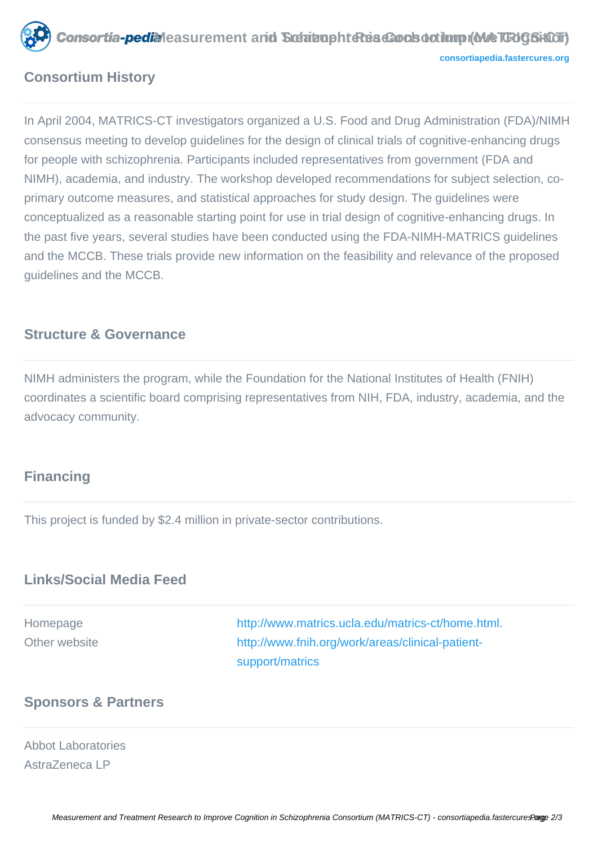**Consortia-pedil** Measurement and Siderin aphrenis Consortium (MACTCHGSiOOT) **[consortiapedia.fastercures.org](http://consortiapedia.fastercures.org/)**

# **Consortium History**

In April 2004, MATRICS-CT investigators organized a U.S. Food and Drug Administration (FDA)/NIMH consensus meeting to develop guidelines for the design of clinical trials of cognitive-enhancing drugs for people with schizophrenia. Participants included representatives from government (FDA and NIMH), academia, and industry. The workshop developed recommendations for subject selection, coprimary outcome measures, and statistical approaches for study design. The guidelines were conceptualized as a reasonable starting point for use in trial design of cognitive-enhancing drugs. In the past five years, several studies have been conducted using the FDA-NIMH-MATRICS guidelines and the MCCB. These trials provide new information on the feasibility and relevance of the proposed guidelines and the MCCB.

### **Structure & Governance**

NIMH administers the program, while the Foundation for the National Institutes of Health (FNIH) coordinates a scientific board comprising representatives from NIH, FDA, industry, academia, and the advocacy community.

# **Financing**

This project is funded by \$2.4 million in private-sector contributions.

# **Links/Social Media Feed**

| Homepage      | http://www.matrics.ucla.edu/matrics-ct/home.html. |
|---------------|---------------------------------------------------|
| Other website | http://www.fnih.org/work/areas/clinical-patient-  |
|               | support/matrics                                   |

#### **Sponsors & Partners**

#### Abbot Laboratories AstraZeneca LP